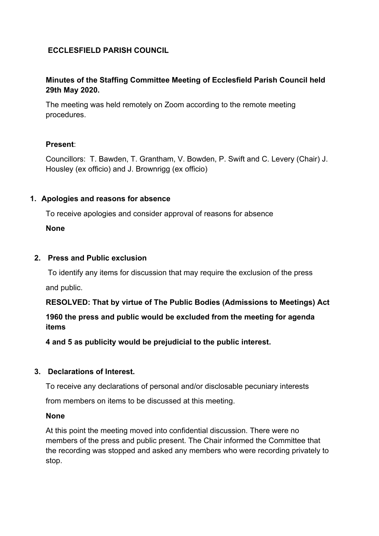## **ECCLESFIELD PARISH COUNCIL**

## **Minutes of the Staffing Committee Meeting of Ecclesfield Parish Council held 29th May 2020.**

The meeting was held remotely on Zoom according to the remote meeting procedures.

### **Present**:

Councillors: T. Bawden, T. Grantham, V. Bowden, P. Swift and C. Levery (Chair) J. Housley (ex officio) and J. Brownrigg (ex officio)

### **1. Apologies and reasons for absence**

To receive apologies and consider approval of reasons for absence

**None**

## **2. Press and Public exclusion**

 To identify any items for discussion that may require the exclusion of the press and public.

**RESOLVED: That by virtue of The Public Bodies (Admissions to Meetings) Act**

# **1960 the press and public would be excluded from the meeting for agenda items**

**4 and 5 as publicity would be prejudicial to the public interest.**

### **3. Declarations of Interest.**

To receive any declarations of personal and/or disclosable pecuniary interests

from members on items to be discussed at this meeting.

**None**

At this point the meeting moved into confidential discussion. There were no members of the press and public present. The Chair informed the Committee that the recording was stopped and asked any members who were recording privately to stop.